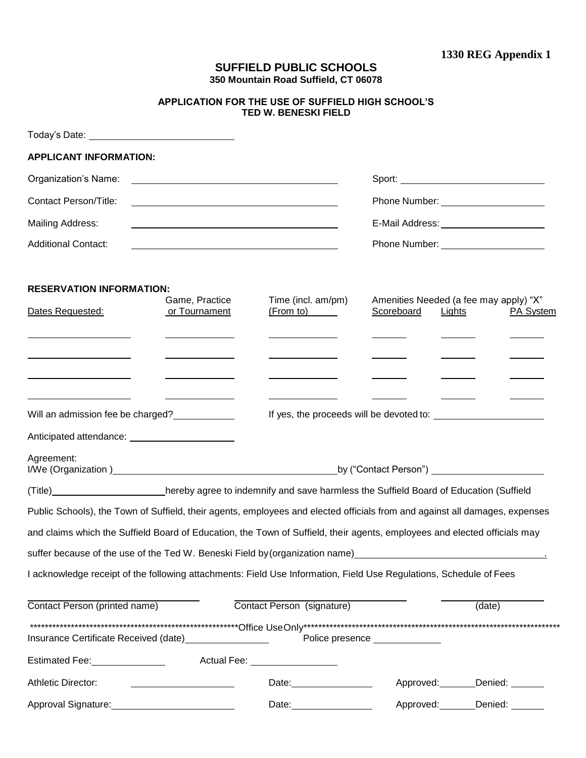# SUFFIELD PUBLIC SCHOOLS 350 Mountain Road Suffield, CT 06078

## APPLICATION FOR THE USE OF SUFFIELD HIGH SCHOOL'S TED W. BENESKI FIELD

| Today's Date: __________________________________                                                                            |                                                             |                                                                                                                                                                                                    |                               |                                         |
|-----------------------------------------------------------------------------------------------------------------------------|-------------------------------------------------------------|----------------------------------------------------------------------------------------------------------------------------------------------------------------------------------------------------|-------------------------------|-----------------------------------------|
| <b>APPLICANT INFORMATION:</b>                                                                                               |                                                             |                                                                                                                                                                                                    |                               |                                         |
| Organization's Name:                                                                                                        |                                                             |                                                                                                                                                                                                    |                               |                                         |
| <b>Contact Person/Title:</b>                                                                                                |                                                             |                                                                                                                                                                                                    |                               | Phone Number: ________________________  |
| <b>Mailing Address:</b>                                                                                                     |                                                             |                                                                                                                                                                                                    |                               | E-Mail Address: _______________________ |
| <b>Additional Contact:</b>                                                                                                  | <u> 1980 - Johann Stoff, Amerikaansk politiker († 1908)</u> |                                                                                                                                                                                                    |                               | Phone Number: _______________________   |
| <b>RESERVATION INFORMATION:</b>                                                                                             | Game, Practice                                              | Time (incl. am/pm)                                                                                                                                                                                 |                               | Amenities Needed (a fee may apply) "X"  |
| Dates Requested:                                                                                                            | or Tournament                                               | (From to)                                                                                                                                                                                          | Scoreboard<br><b>Lights</b>   | <b>PA System</b>                        |
| <u> 1989 - Johann Barn, mars an t-Amerikaansk kommunister (</u>                                                             |                                                             | <u> 1989 - Johann Stoff, fransk konge</u>                                                                                                                                                          |                               |                                         |
|                                                                                                                             | the control of the control of the                           | $\mathcal{L}^{\mathcal{L}}(\mathcal{L}^{\mathcal{L}})$ and $\mathcal{L}^{\mathcal{L}}(\mathcal{L}^{\mathcal{L}})$ . The contribution of the $\mathcal{L}^{\mathcal{L}}(\mathcal{L}^{\mathcal{L}})$ |                               |                                         |
|                                                                                                                             |                                                             |                                                                                                                                                                                                    |                               |                                         |
|                                                                                                                             |                                                             |                                                                                                                                                                                                    |                               |                                         |
| Anticipated attendance: _______________________                                                                             |                                                             |                                                                                                                                                                                                    |                               |                                         |
| Agreement:                                                                                                                  |                                                             |                                                                                                                                                                                                    |                               |                                         |
| (Title)_______________________hereby agree to indemnify and save harmless the Suffield Board of Education (Suffield         |                                                             |                                                                                                                                                                                                    |                               |                                         |
| Public Schools), the Town of Suffield, their agents, employees and elected officials from and against all damages, expenses |                                                             |                                                                                                                                                                                                    |                               |                                         |
| and claims which the Suffield Board of Education, the Town of Suffield, their agents, employees and elected officials may   |                                                             |                                                                                                                                                                                                    |                               |                                         |
| suffer because of the use of the Ted W. Beneski Field by (organization name)                                                |                                                             |                                                                                                                                                                                                    |                               |                                         |
| I acknowledge receipt of the following attachments: Field Use Information, Field Use Regulations, Schedule of Fees          |                                                             |                                                                                                                                                                                                    |                               |                                         |
| Contact Person (printed name)                                                                                               |                                                             | Contact Person (signature)                                                                                                                                                                         |                               | (date)                                  |
| Insurance Certificate Received (date)__________________                                                                     |                                                             |                                                                                                                                                                                                    | Police presence _____________ |                                         |
|                                                                                                                             |                                                             |                                                                                                                                                                                                    |                               |                                         |
| <b>Athletic Director:</b>                                                                                                   | <u> Alexandria de la conte</u>                              |                                                                                                                                                                                                    |                               | Approved: Denied: _____                 |
|                                                                                                                             |                                                             | Date:_________________                                                                                                                                                                             |                               | Approved: Denied: ______                |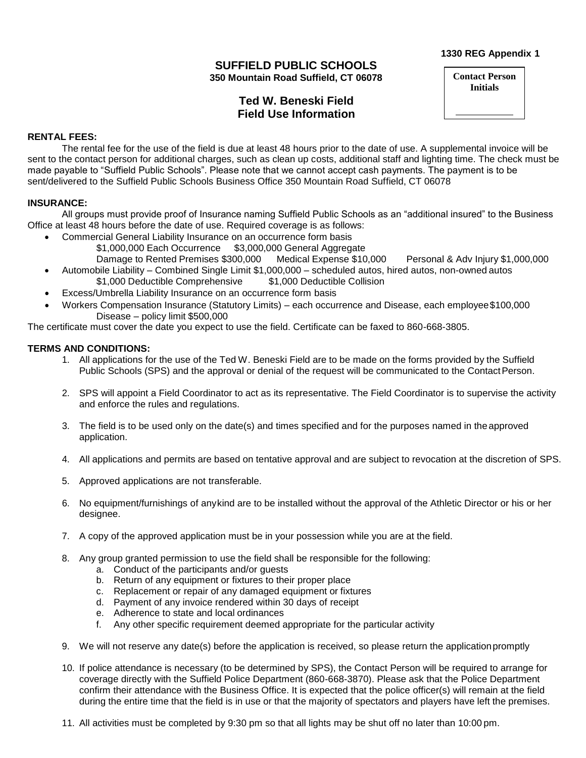# **SUFFIELD PUBLIC SCHOOLS 350 Mountain Road Suffield, CT 06078**

# **Ted W. Beneski Field Field Use Information**

**Contact Person Initials**

### **RENTAL FEES:**

The rental fee for the use of the field is due at least 48 hours prior to the date of use. A supplemental invoice will be sent to the contact person for additional charges, such as clean up costs, additional staff and lighting time. The check must be made payable to "Suffield Public Schools". Please note that we cannot accept cash payments. The payment is to be sent/delivered to the Suffield Public Schools Business Office 350 Mountain Road Suffield, CT 06078

#### **INSURANCE:**

All groups must provide proof of Insurance naming Suffield Public Schools as an "additional insured" to the Business Office at least 48 hours before the date of use. Required coverage is as follows:

- Commercial General Liability Insurance on an occurrence form basis
	- \$1,000,000 Each Occurrence \$3,000,000 General Aggregate
		- Damage to Rented Premises \$300,000 Medical Expense \$10,000 Personal & Adv Injury \$1,000,000
- Automobile Liability Combined Single Limit \$1,000,000 scheduled autos, hired autos, non-owned autos \$1,000 Deductible Comprehensive \$1,000 Deductible Collision
- Excess/Umbrella Liability Insurance on an occurrence form basis
- Workers Compensation Insurance (Statutory Limits) each occurrence and Disease, each employee\$100,000 Disease – policy limit \$500,000

The certificate must cover the date you expect to use the field. Certificate can be faxed to 860-668-3805.

#### **TERMS AND CONDITIONS:**

- 1. All applications for the use of the Ted W. Beneski Field are to be made on the forms provided by the Suffield Public Schools (SPS) and the approval or denial of the request will be communicated to the Contact Person.
- 2. SPS will appoint a Field Coordinator to act as its representative. The Field Coordinator is to supervise the activity and enforce the rules and regulations.
- 3. The field is to be used only on the date(s) and times specified and for the purposes named in theapproved application.
- 4. All applications and permits are based on tentative approval and are subject to revocation at the discretion of SPS.
- 5. Approved applications are not transferable.
- 6. No equipment/furnishings of anykind are to be installed without the approval of the Athletic Director or his or her designee.
- 7. A copy of the approved application must be in your possession while you are at the field.
- 8. Any group granted permission to use the field shall be responsible for the following:
	- a. Conduct of the participants and/or guests
	- b. Return of any equipment or fixtures to their proper place
	- c. Replacement or repair of any damaged equipment or fixtures
	- d. Payment of any invoice rendered within 30 days of receipt
	- e. Adherence to state and local ordinances
	- f. Any other specific requirement deemed appropriate for the particular activity
- 9. We will not reserve any date(s) before the application is received, so please return the applicationpromptly
- 10. If police attendance is necessary (to be determined by SPS), the Contact Person will be required to arrange for coverage directly with the Suffield Police Department (860-668-3870). Please ask that the Police Department confirm their attendance with the Business Office. It is expected that the police officer(s) will remain at the field during the entire time that the field is in use or that the majority of spectators and players have left the premises.
- 11. All activities must be completed by 9:30 pm so that all lights may be shut off no later than 10:00 pm.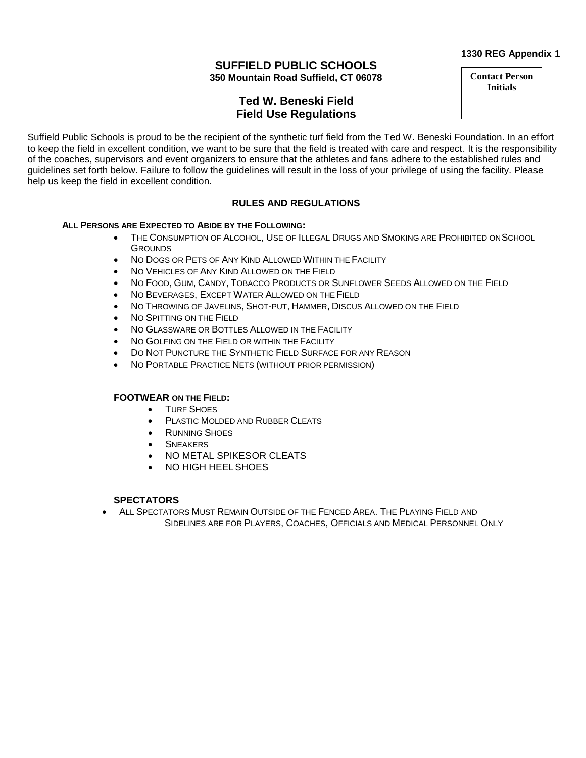# **SUFFIELD PUBLIC SCHOOLS 350 Mountain Road Suffield, CT 06078**

# **Ted W. Beneski Field Field Use Regulations**

**Contact Person Initials**

Suffield Public Schools is proud to be the recipient of the synthetic turf field from the Ted W. Beneski Foundation. In an effort to keep the field in excellent condition, we want to be sure that the field is treated with care and respect. It is the responsibility of the coaches, supervisors and event organizers to ensure that the athletes and fans adhere to the established rules and guidelines set forth below. Failure to follow the guidelines will result in the loss of your privilege of using the facility. Please help us keep the field in excellent condition.

## **RULES AND REGULATIONS**

### **ALL PERSONS ARE EXPECTED TO ABIDE BY THE FOLLOWING:**

- THE CONSUMPTION OF ALCOHOL, USE OF ILLEGAL DRUGS AND SMOKING ARE PROHIBITED ONSCHOOL **GROUNDS**
- NO DOGS OR PETS OF ANY KIND ALLOWED WITHIN THE FACILITY
- NO VEHICLES OF ANY KIND ALLOWED ON THE FIELD
- NO FOOD, GUM, CANDY, TOBACCO PRODUCTS OR SUNFLOWER SEEDS ALLOWED ON THE FIELD
- NO BEVERAGES, EXCEPT WATER ALLOWED ON THE FIELD
- NO THROWING OF JAVELINS, SHOT-PUT, HAMMER, DISCUS ALLOWED ON THE FIELD
- NO SPITTING ON THE FIELD
- NO GLASSWARE OR BOTTLES ALLOWED IN THE FACILITY
- NO GOLFING ON THE FIELD OR WITHIN THE FACILITY
- DO NOT PUNCTURE THE SYNTHETIC FIELD SURFACE FOR ANY REASON
- NO PORTABLE PRACTICE NETS (WITHOUT PRIOR PERMISSION)

#### **FOOTWEAR ON THE FIELD:**

- **TURF SHOES**
- PLASTIC MOLDED AND RUBBER CLEATS
- RUNNING SHOES
- **SNEAKERS**
- NO METAL SPIKESOR CLEATS
- NO HIGH HEELSHOES

### **SPECTATORS**

 ALL SPECTATORS MUST REMAIN OUTSIDE OF THE FENCED AREA. THE PLAYING FIELD AND SIDELINES ARE FOR PLAYERS, COACHES, OFFICIALS AND MEDICAL PERSONNEL ONLY